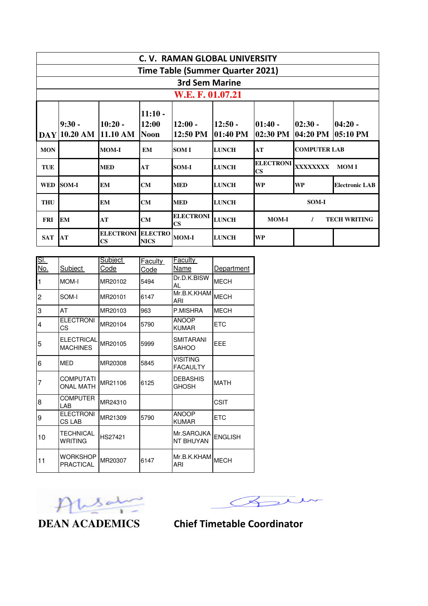|            | C. V. RAMAN GLOBAL UNIVERSITY           |                                            |                                   |                                            |                       |                                     |                        |                       |  |  |
|------------|-----------------------------------------|--------------------------------------------|-----------------------------------|--------------------------------------------|-----------------------|-------------------------------------|------------------------|-----------------------|--|--|
|            | <b>Time Table (Summer Quarter 2021)</b> |                                            |                                   |                                            |                       |                                     |                        |                       |  |  |
|            | <b>3rd Sem Marine</b>                   |                                            |                                   |                                            |                       |                                     |                        |                       |  |  |
|            |                                         |                                            |                                   | W.E. F. 01.07.21                           |                       |                                     |                        |                       |  |  |
| <b>DAY</b> | $9:30 -$<br>10.20 AM                    | $10:20 -$<br>11.10 AM                      | $11:10 -$<br>12:00<br><b>Noon</b> | $12:00 -$<br>12:50 PM                      | $12:50 -$<br>01:40 PM | $101:40 -$<br>02:30 PM              | $ 02:30 -$<br>04:20 PM | $04:20 -$<br>05:10 PM |  |  |
| <b>MON</b> |                                         | <b>MOM-I</b>                               | <b>EM</b>                         | <b>SOM I</b>                               | <b>LUNCH</b>          | <b>COMPUTER LAB</b><br>AT           |                        |                       |  |  |
| <b>TUE</b> |                                         | <b>MED</b>                                 | AT                                | <b>SOM-I</b>                               | <b>LUNCH</b>          | ELECTRONI XXXXXXXX<br>$\mathbf{CS}$ |                        | <b>MOMI</b>           |  |  |
|            | WED SOM-I                               | <b>EM</b>                                  | <b>CM</b>                         | <b>MED</b>                                 | <b>LUNCH</b>          | <b>WP</b>                           | <b>WP</b>              | <b>Electronic LAB</b> |  |  |
| <b>THU</b> |                                         | <b>EM</b>                                  | <b>CM</b>                         | <b>MED</b>                                 | <b>LUNCH</b>          | <b>SOM-I</b>                        |                        |                       |  |  |
| <b>FRI</b> | <b>EM</b>                               | AT                                         | <b>CM</b>                         | <b>ELECTRONI</b><br>$\overline{\text{CS}}$ | <b>LUNCH</b>          | <b>MOM-I</b>                        | $\prime$               | <b>TECH WRITING</b>   |  |  |
| <b>SAT</b> | AT                                      | <b>ELECTRONI</b><br>$\overline{\text{CS}}$ | <b>ELECTRO</b><br><b>NICS</b>     | <b>MOM-I</b>                               | <b>LUNCH</b>          | <b>WP</b>                           |                        |                       |  |  |

| <u>SI.</u><br><u>No.</u> | Subject                              | Subject<br>Code | <b>Faculty</b><br>Code | <b>Faculty</b><br>Name             | Department     |
|--------------------------|--------------------------------------|-----------------|------------------------|------------------------------------|----------------|
|                          | MOM-I                                | MR20102         | 5494                   | Dr.D.K.BISW<br>AL                  | <b>MECH</b>    |
| 2                        | SOM-I                                | MR20101         | 6147                   | Mr.B.K.KHAM<br>ARI                 | <b>MECH</b>    |
| 3                        | AT                                   | MR20103         | 963                    | P.MISHRA                           | <b>MECH</b>    |
| 4                        | <b>ELECTRONI</b><br>СS               | MR20104         | 5790                   | <b>ANOOP</b><br><b>KUMAR</b>       | <b>ETC</b>     |
| 5                        | ELECTRICAL<br><b>MACHINES</b>        | MR20105         | 5999                   | SMITARANI<br>SAHOO                 | EEE            |
| 6                        | <b>MED</b>                           | MR20308         | 5845                   | <b>VISITING</b><br><b>FACAULTY</b> |                |
| 7                        | <b>COMPUTATI</b><br><b>ONAL MATH</b> | MR21106         | 6125                   | <b>DEBASHIS</b><br><b>GHOSH</b>    | <b>MATH</b>    |
| 8                        | COMPUTER<br>LAB                      | MR24310         |                        |                                    | CSIT           |
| 9                        | <b>ELECTRONI</b><br>CS LAB           | MR21309         | 5790                   | <b>ANOOP</b><br><b>KUMAR</b>       | <b>ETC</b>     |
| 10                       | TECHNICAL<br>WRITING                 | HS27421         |                        | Mr.SAROJKA<br>NT BHUYAN            | <b>ENGLISH</b> |
| 11                       | WORKSHOP<br>PRACTICAL                | MR20307         | 6147                   | Mr.B.K.KHAM<br>ARI                 | <b>MECH</b>    |



 $\overline{\mathcal{L}}$  $\curvearrowright$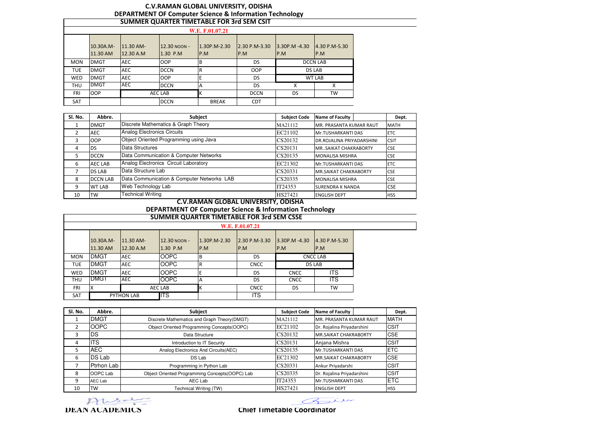# **C.V.RAMAN GLOBAL UNIVERSITY, ODISHADEPARTMENT OF Computer Science & Information Technology SUMMER QUARTER TIMETABLE FOR 3rd SEM CSIT**

|            |                       |                        |                          | W.E. F.01.07.21     |                      |                         |                         |
|------------|-----------------------|------------------------|--------------------------|---------------------|----------------------|-------------------------|-------------------------|
|            | 10.30A.M-<br>11.30 AM | 11.30 AM-<br>12.30 A.M | 12.30 NOON -<br>1.30 P.M | 1.30P.M-2.30<br>P.M | 2.30 P.M-3.30<br>P.M | $3.30P.M - 4.30$<br>P.M | $14.30$ P.M-5.30<br>P.M |
| <b>MON</b> | <b>DMGT</b>           | <b>AEC</b>             | <b>OOP</b>               | B                   | DS                   | <b>DCCN LAB</b>         |                         |
| <b>TUE</b> | <b>DMGT</b>           | <b>AEC</b>             | <b>DCCN</b>              | R                   | <b>OOP</b>           |                         | <b>DS LAB</b>           |
| WED        | <b>DMGT</b>           | <b>AEC</b>             | <b>OOP</b>               |                     | DS                   |                         | WT LAB                  |
| <b>THU</b> | <b>DMGT</b>           | <b>AEC</b>             | <b>DCCN</b>              | ΙA                  | DS                   | X                       | X                       |
| <b>FRI</b> | <b>OOP</b>            |                        | AEC LAB                  |                     | <b>DCCN</b>          | DS                      | TW                      |
| <b>SAT</b> |                       |                        | <b>DCCN</b>              | <b>BREAK</b>        | <b>CDT</b>           |                         |                         |

| SI. No. | Abbre.          | Subject                                    | <b>Subject Code</b> | <b>Name of Faculty</b>           | Dept.       |
|---------|-----------------|--------------------------------------------|---------------------|----------------------------------|-------------|
|         | <b>DMGT</b>     | Discrete Mathematics & Graph Theory        | MA21112             | MR. PRASANTA KUMAR RAUT          | <b>MATH</b> |
|         | <b>AEC</b>      | <b>Analog Electronics Circuits</b>         | EC21102             | Mr.TUSHARKANTI DAS               | <b>IETC</b> |
| 3       | <b>OOP</b>      | Object Oriented Programming using Java     | CS20132             | <b>DR.ROJALINA PRIYADARSHINI</b> | <b>CSIT</b> |
| 4       | DS              | Data Structures                            | CS20131             | MR., SAIKAT CHAKRABORTY          | <b>CSE</b>  |
| 5.      | <b>DCCN</b>     | Data Communication & Computer Networks     | CS20135             | <b>MONALISA MISHRA</b>           | <b>CSE</b>  |
| 6       | <b>AEC LAB</b>  | Analog Electronics Circuit Laboratory      | EC21302             | Mr.TUSHARKANTI DAS               | <b>ETC</b>  |
|         | <b>DS LAB</b>   | Data Structure Lab                         | CS20331             | <b>MR.SAIKAT CHAKRABORTY</b>     | <b>CSE</b>  |
| 8       | <b>DCCN LAB</b> | Data Communication & Computer Networks LAB | CS20335             | <b>MONALISA MISHRA</b>           | <b>CSE</b>  |
| 9       | <b>WT LAB</b>   | Web Technology Lab                         | IT24353             | <b>SURENDRA K NANDA</b>          | <b>CSE</b>  |
| 10      | <b>TW</b>       | <b>Technical Writing</b>                   | HS27421             | <b>ENGLISH DEPT</b>              | <b>HSS</b>  |

# **DEPARTMENT OF Computer Science & Information Technology SUMMER QUARTER TIMETABLE FOR 3rd SEM CSSE**  ENGLISH DEPT **C.V.RAMAN GLOBAL UNIVERSITY, ODISHA**

|            |                       |                        |                            |                     | W.E. F.01.07.21          |                          |                      |  |
|------------|-----------------------|------------------------|----------------------------|---------------------|--------------------------|--------------------------|----------------------|--|
|            | 10.30A.M-<br>11.30 AM | 11.30 AM-<br>12.30 A.M | 12.30 NOON -<br>$1.30$ P.M | 1.30P.M-2.30<br>P.M | $12.30$ P.M-3.30<br>IP.M | $3.30P.M - 4.30$<br>IP.M | 4.30 P.M-5.30<br>P.M |  |
| <b>MON</b> | <b>DMGT</b>           | <b>AEC</b>             | <b>OOPC</b>                | IΒ                  | DS                       | <b>CNCC LAB</b>          |                      |  |
| TUE        | <b>DMGT</b>           | <b>AEC</b>             | <b>OOPC</b>                | l R                 | <b>CNCC</b>              | <b>DS LAB</b>            |                      |  |
| WED        | <b>DMGT</b>           | <b>AEC</b>             | <b>OOPC</b>                | E                   | <b>DS</b>                | <b>CNCC</b>              | <b>ITS</b>           |  |
| <b>THU</b> | <b>DMGT</b>           | <b>AEC</b>             | OOPC                       | IA                  | <b>DS</b>                | <b>CNCC</b>              | <b>ITS</b>           |  |
| <b>FRI</b> | Χ                     |                        | AEC LAB                    | ιK                  | <b>CNCC</b>              | DS                       | TW                   |  |
| <b>SAT</b> |                       | PYTHON LAB             | <b>I</b> ITS               |                     | <b>ITS</b>               |                          |                      |  |

| Sl. No.       | Abbre.      | Subject                                        | <b>Subject Code</b> | <b>Name of Faculty</b>       | Dept.       |
|---------------|-------------|------------------------------------------------|---------------------|------------------------------|-------------|
|               | <b>DMGT</b> | Discrete Mathematics and Graph Theory (DMGT)   | MA21112             | MR. PRASANTA KUMAR RAUT      | <b>MATH</b> |
| $\mathcal{P}$ | <b>OOPC</b> | Object Oriented Programming Concepts(OOPC)     | EC21102             | Dr. Rojalina Priyadarshini   | <b>CSIT</b> |
| 3             | DS          | Data Structure                                 | CS20132             | <b>MR.SAIKAT CHAKRABORTY</b> | <b>CSE</b>  |
| 4             | <b>ITS</b>  | Introduction to IT Security                    | CS20131             | Anjana Mishra                | CSIT        |
| 5             | <b>AEC</b>  | Analog Electronics And Circuits (AEC)          | CS20135             | Mr.TUSHARKANTI DAS           | <b>ETC</b>  |
| 6             | DS Lab      | DS Lab                                         | EC21302             | <b>MR.SAIKAT CHAKRABORTY</b> | <b>CSE</b>  |
|               | Ptrhon Lab  | Programming in Python Lab                      | CS20331             | Ankur Priyadarshi            | CSIT        |
| 8             | OOPC Lab    | Object Oriented Programming Concepts(OOPC) Lab | CS20335             | Dr. Rojalina Priyadarshini   | <b>CSIT</b> |
| q             | AEC Lab     | AEC Lab                                        | IT24353             | Mr.TUSHARKANTI DAS           | <b>ETC</b>  |
| 10            | <b>TW</b>   | Technical Writing (TW)                         | HS27421             | <b>ENGLISH DEPT</b>          | <b>HSS</b>  |



 $\curvearrowright$  $\overline{\phantom{a}}$ 

### **Chief Timetable Coordinator**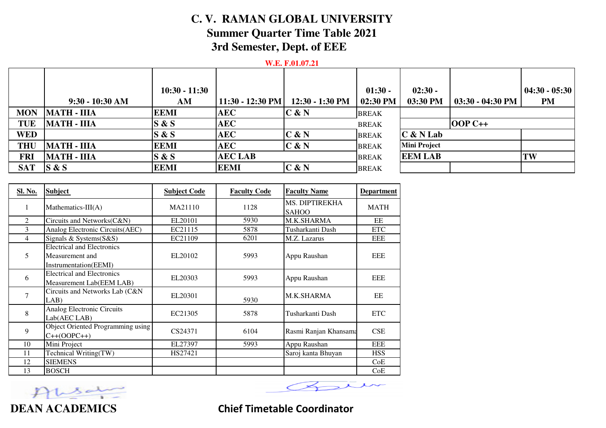# **C. V. RAMAN GLOBAL UNIVERSITYSummer Quarter Time Table 20213rd Semester, Dept. of EEE**

## **W.E. F.01.07.21**

|            |                    | $10:30 - 11:30$ |                    |                 | $01:30 -$    | $02:30 -$           |                            | $ 04:30 - 05:30 $ |
|------------|--------------------|-----------------|--------------------|-----------------|--------------|---------------------|----------------------------|-------------------|
|            | $9:30 - 10:30$ AM  | AM              | $11:30 - 12:30$ PM | 12:30 - 1:30 PM | 02:30 PM     | 03:30 PM            | $03:30 - 04:30 \text{ PM}$ | PM                |
| <b>MON</b> | <b>MATH - IIIA</b> | <b>EEMI</b>     | <b>AEC</b>         | $C$ & N         | <b>BREAK</b> |                     |                            |                   |
| <b>TUE</b> | <b>MATH - IIIA</b> | S & S           | <b>AEC</b>         |                 | <b>BREAK</b> |                     | $OOPC++$                   |                   |
| <b>WED</b> |                    | S & S           | <b>AEC</b>         | C & N           | <b>BREAK</b> | $C$ & N Lab         |                            |                   |
| <b>THU</b> | <b>MATH - IIIA</b> | <b>EEMI</b>     | <b>AEC</b>         | C & N           | <b>BREAK</b> | <b>Mini Project</b> |                            |                   |
| <b>FRI</b> | <b>MATH - IIIA</b> | S & S           | <b>AEC LAB</b>     |                 | <b>BREAK</b> | <b>EEM LAB</b>      |                            | TW                |
| <b>SAT</b> | S & S              | <b>EEMI</b>     | <b>EEMI</b>        | C & N           | <b>BREAK</b> |                     |                            |                   |

| <b>Sl. No.</b> | <b>Subject</b>                                                                | <b>Subject Code</b> | <b>Faculty Code</b> | <b>Faculty Name</b>            | <b>Department</b> |
|----------------|-------------------------------------------------------------------------------|---------------------|---------------------|--------------------------------|-------------------|
| 1              | Mathematics- $III(A)$                                                         | MA21110             | 1128                | MS. DIPTIREKHA<br><b>SAHOO</b> | <b>MATH</b>       |
| 2              | Circuits and Networks(C&N)                                                    | EL20101             | 5930                | M.K.SHARMA                     | EE                |
| 3              | Analog Electronic Circuits(AEC)                                               | EC21115             | 5878                | Tusharkanti Dash               | <b>ETC</b>        |
| 4              | Signals & Systems(S&S)                                                        | EC21109             | 6201                | M.Z. Lazarus                   | <b>EEE</b>        |
| 5              | <b>Electrical and Electronics</b><br>Measurement and<br>Instrumentation(EEMI) | EL20102             | 5993                | Appu Raushan                   | <b>EEE</b>        |
| 6              | <b>Electrical and Electronics</b><br>Measurement Lab(EEM LAB)                 | EL20303             | 5993                | Appu Raushan                   | EEE               |
| $\overline{7}$ | Circuits and Networks Lab (C&N<br>LAB)                                        | EL20301             | 5930                | <b>M.K.SHARMA</b>              | EE                |
| $\,8\,$        | Analog Electronic Circuits<br>Lab(AEC LAB)                                    | EC21305             | 5878                | Tusharkanti Dash               | <b>ETC</b>        |
| 9              | <b>Object Oriented Programming using</b><br>$C++(OOPC++)$                     | CS24371             | 6104                | Rasmi Ranjan Khansama          | CSE               |
| 10             | Mini Project                                                                  | EL27397             | 5993                | Appu Raushan                   | <b>EEE</b>        |
| 11             | Technical Writing(TW)                                                         | HS27421             |                     | Saroj kanta Bhuyan             | <b>HSS</b>        |
| 12             | <b>SIEMENS</b>                                                                |                     |                     |                                | CoE               |
| 13             | <b>BOSCH</b>                                                                  |                     |                     |                                | CoE               |



**Chief Timetable Coordinator**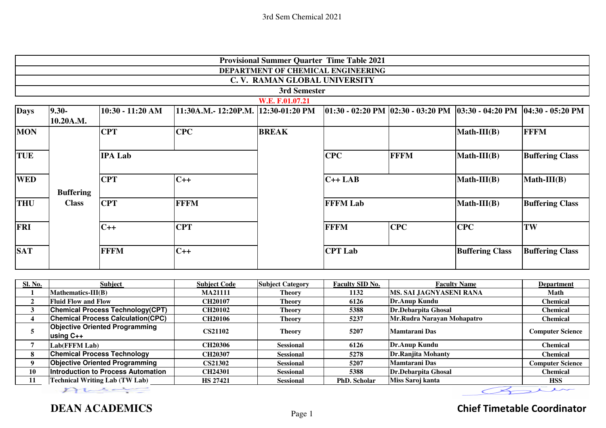|                         |                            |                                          |                                     |                              | <b>Provisional Summer Quarter Time Table 2021</b> |                                |                                                                                         |                         |
|-------------------------|----------------------------|------------------------------------------|-------------------------------------|------------------------------|---------------------------------------------------|--------------------------------|-----------------------------------------------------------------------------------------|-------------------------|
|                         |                            |                                          |                                     |                              | DEPARTMENT OF CHEMICAL ENGINEERING                |                                |                                                                                         |                         |
|                         |                            |                                          |                                     | C.V. RAMAN GLOBAL UNIVERSITY |                                                   |                                |                                                                                         |                         |
|                         |                            |                                          |                                     | 3rd Semester                 |                                                   |                                |                                                                                         |                         |
|                         |                            |                                          |                                     | W.E. F.01.07.21              |                                                   |                                |                                                                                         |                         |
| <b>Days</b>             | $9.30 -$<br>10.20A.M.      | 10:30 - 11:20 AM                         | 11:30A.M.- 12:20P.M. 12:30-01:20 PM |                              |                                                   |                                | $ 01:30 - 02:20  $ PM $ 02:30 - 03:20  $ PM $ 03:30 - 04:20  $ PM $ 04:30 - 05:20  $ PM |                         |
| <b>MON</b>              |                            | <b>CPT</b>                               | <b>CPC</b>                          | <b>BREAK</b>                 |                                                   |                                | $Math-III(B)$                                                                           | <b>FFFM</b>             |
| <b>TUE</b>              |                            | <b>IPA Lab</b>                           |                                     |                              | <b>CPC</b>                                        | <b>FFFM</b>                    | $Math-III(B)$                                                                           | <b>Buffering Class</b>  |
| <b>WED</b>              | <b>Buffering</b>           | <b>CPT</b>                               | $C++$                               |                              | $C++LAB$                                          |                                | $Math-III(B)$                                                                           | $Math-III(B)$           |
| <b>THU</b>              | <b>CPT</b><br><b>Class</b> |                                          | <b>FFFM</b>                         |                              | <b>FFFM Lab</b>                                   |                                | $Math-III(B)$                                                                           | <b>Buffering Class</b>  |
| <b>FRI</b>              |                            | $C++$                                    | <b>CPT</b>                          |                              | <b>FFFM</b>                                       | <b>CPC</b>                     | <b>CPC</b>                                                                              | TW                      |
| <b>SAT</b>              |                            | <b>FFFM</b>                              | $C++$                               |                              | <b>CPT Lab</b>                                    |                                | <b>Buffering Class</b>                                                                  | <b>Buffering Class</b>  |
|                         |                            |                                          |                                     |                              |                                                   |                                |                                                                                         |                         |
| Sl. No.                 |                            | <b>Subject</b>                           | <b>Subject Code</b>                 | <b>Subject Category</b>      | <b>Faculty SID No.</b>                            |                                | <b>Faculty Name</b>                                                                     | <b>Department</b>       |
| 1                       | Mathematics-III(B)         |                                          | <b>MA21111</b>                      | <b>Theory</b>                | 1132                                              | <b>MS. SAI JAGNYASENI RANA</b> |                                                                                         | <b>Math</b>             |
| $\overline{2}$          | <b>Fluid Flow and Flow</b> |                                          | CH20107                             | <b>Theory</b>                | 6126                                              | <b>Dr.Anup Kundu</b>           |                                                                                         | <b>Chemical</b>         |
| $\mathbf{3}$            |                            | <b>Chemical Process Technology(CPT)</b>  | <b>CH20102</b>                      | <b>Theory</b>                | 5388                                              | Dr.Debarpita Ghosal            |                                                                                         | <b>Chemical</b>         |
| $\overline{\mathbf{4}}$ |                            | <b>Chemical Process Calculation(CPC)</b> | <b>CH20106</b>                      | <b>Theory</b>                | 5237                                              | Mr.Rudra Narayan Mohapatro     |                                                                                         | <b>Chemical</b>         |
| 5                       | using C++                  | <b>Objective Oriented Programming</b>    | <b>CS21102</b>                      | <b>Theory</b>                | 5207                                              | <b>Mamtarani Das</b>           |                                                                                         | <b>Computer Science</b> |
| $\overline{7}$          | Lab(FFFM Lab)              |                                          | CH20306                             | <b>Sessional</b>             | 6126                                              | <b>Dr.Anup Kundu</b>           |                                                                                         | <b>Chemical</b>         |
| 8                       |                            | <b>Chemical Process Technology</b>       | CH20307                             | <b>Sessional</b>             | 5278                                              | Dr.Ranjita Mohanty             |                                                                                         | <b>Chemical</b>         |
| 9                       |                            | <b>Objective Oriented Programming</b>    | <b>CS21302</b>                      | Sessional                    | 5207                                              | <b>Mamtarani Das</b>           |                                                                                         | <b>Computer Science</b> |

**DEAN ACADEMICS**

**HS 27421Technical Writing Lab (TW Lab)**

**10**

**11**

# **Chief Timetable Coordinator**

y

 $\epsilon$ 

人

 $\overline{1}$ 

**CH24301 CH24301 CH2501 Sessional 1988 Dr.Debarpita Ghosal Chemical Chemical** 

**Research 1 Sessional PhD. Scholar Miss Saroj kanta HSS** 

**Dr.Debarpita Ghosal**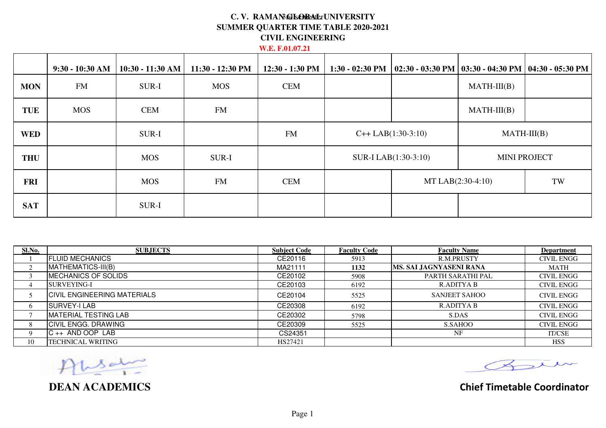## C. V. RAMAN GLOBA ErUNIVERSITY **SUMMER QUARTER TIME TABLE 2020-2021CIVIL ENGINEERING**

## **W.E. F.01.07.21**

|            | $9:30 - 10:30$ AM | $10:30 - 11:30$ AM | 11:30 - 12:30 PM | $12:30 - 1:30$ PM | $1:30 - 02:30$ PM | $\vert$ 02:30 - 03:30 PM $\vert$ 03:30 - 04:30 PM $\vert$ 04:30 - 05:30 PM |               |                     |
|------------|-------------------|--------------------|------------------|-------------------|-------------------|----------------------------------------------------------------------------|---------------|---------------------|
| <b>MON</b> | <b>FM</b>         | SUR-I              | <b>MOS</b>       | <b>CEM</b>        |                   |                                                                            | $MATH-III(B)$ |                     |
| <b>TUE</b> | <b>MOS</b>        | <b>CEM</b>         | <b>FM</b>        |                   |                   |                                                                            | $MATH-III(B)$ |                     |
| <b>WED</b> |                   | SUR-I              |                  | <b>FM</b>         |                   | $C++ LAB(1:30-3:10)$                                                       |               | $MATH-III(B)$       |
| <b>THU</b> |                   | <b>MOS</b>         | SUR-I            |                   |                   | SUR-I LAB(1:30-3:10)                                                       |               | <b>MINI PROJECT</b> |
| <b>FRI</b> |                   | <b>MOS</b>         | <b>FM</b>        | <b>CEM</b>        |                   | MT LAB(2:30-4:10)                                                          |               | TW                  |
| <b>SAT</b> |                   | SUR-I              |                  |                   |                   |                                                                            |               |                     |

| Sl.No.   | <b>SUBJECTS</b>                    | <b>Subject Code</b> | <b>Faculty Code</b> | <b>Faculty Name</b>     | <b>Department</b> |
|----------|------------------------------------|---------------------|---------------------|-------------------------|-------------------|
|          | <b>FLUID MECHANICS</b>             | CE20116             | 5913                | R.M.PRUSTY              | <b>CIVIL ENGG</b> |
|          | MATHEMATICS-III(B)                 | MA21111             | 1132                | MS. SAI JAGNYASENI RANA | MATH              |
|          | MECHANICS OF SOLIDS                | CE20102             | 5908                | PARTH SARATHI PAL       | <b>CIVIL ENGG</b> |
|          | SURVEYING-I                        | CE20103             | 6192                | R.ADITYA B              | <b>CIVIL ENGG</b> |
|          | <b>CIVIL ENGINEERING MATERIALS</b> | CE20104             | 5525                | <b>SANJEET SAHOO</b>    | <b>CIVIL ENGG</b> |
| 6        | SURVEY-I LAB                       | CE20308             | 6192                | R.ADITYA B              | <b>CIVIL ENGG</b> |
|          | IMATERIAL TESTING LAB              | CE20302             | 5798                | S.DAS                   | <b>CIVIL ENGG</b> |
| 8        | <b>CIVIL ENGG. DRAWING</b>         | CE20309             | 5525                | S.SAHOO                 | <b>CIVIL ENGG</b> |
| $\Omega$ | $C_{++}$ AND OOP LAB               | CS24351             |                     | NF                      | <b>IT/CSE</b>     |
| 10       | TECHNICAL WRITING                  | HS27421             |                     |                         | <b>HSS</b>        |

Ţ

**DEAN ACADEMICS**

Bur

**Chief Timetable Coordinator**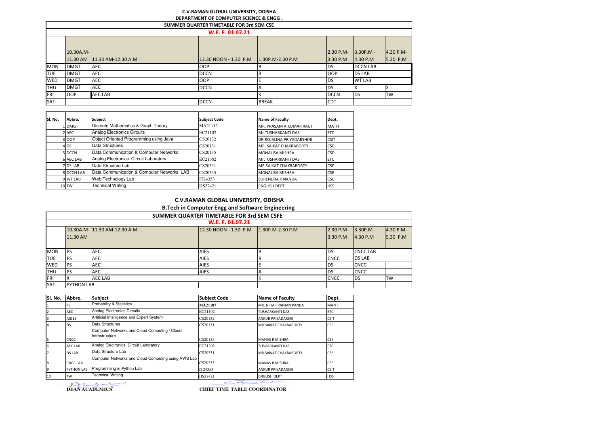#### **C.V.RAMAN GLOBAL UNIVERSITY, ODISHA**

|            | DEPARTMENT OF COMPUTER SCIENCE & ENGG.   |                             |                       |                    |                          |                          |                       |  |  |  |
|------------|------------------------------------------|-----------------------------|-----------------------|--------------------|--------------------------|--------------------------|-----------------------|--|--|--|
|            | SUMMER QUARTER TIMETABLE FOR 3rd SEM CSE |                             |                       |                    |                          |                          |                       |  |  |  |
|            |                                          |                             | W.E. F. 01.07.21      |                    |                          |                          |                       |  |  |  |
|            | 10.30A.M-                                | 11.30 AM 11.30 AM-12.30 A.M | 12.30 NOON - 1.30 P.M | $1.30P.M-2.30 P.M$ | $2.30 P.M -$<br>3.30 P.M | $13.30P.M -$<br>4.30 P.M | 4.30 P.M-<br>5.30 P.M |  |  |  |
| <b>MON</b> | <b>DMGT</b>                              | AEC                         | <b>OOP</b>            |                    | <b>DS</b>                | <b>DCCN LAB</b>          |                       |  |  |  |
| <b>TUE</b> | <b>DMGT</b>                              | <b>AEC</b>                  | <b>DCCN</b>           |                    | <b>OOP</b>               | <b>DS LAB</b>            |                       |  |  |  |
| <b>WED</b> | <b>DMGT</b>                              | <b>AEC</b>                  | <b>OOP</b>            |                    | <b>DS</b>                | <b>WT LAB</b>            |                       |  |  |  |
| <b>THU</b> | <b>DMGT</b>                              | <b>AEC</b>                  | <b>DCCN</b>           |                    | <b>DS</b>                |                          |                       |  |  |  |
| FRI        | <b>OOP</b>                               | <b>AEC LAB</b>              |                       |                    | <b>DCCN</b>              | <b>DS</b>                | <b>TW</b>             |  |  |  |
| SAT        |                                          |                             | <b>DCCN</b>           | <b>BREAK</b>       | <b>CDT</b>               |                          |                       |  |  |  |

| SI. No. | Abbre.           |                                            |                     |                              |             |
|---------|------------------|--------------------------------------------|---------------------|------------------------------|-------------|
|         |                  | <b>Subject</b>                             | <b>Subject Code</b> | <b>Name of Faculty</b>       | Dept.       |
|         | <b>LIDMGT</b>    | Discrete Mathematics & Graph Theory        | MA21112             | MR. PRASANTA KUMAR RAUT      | <b>MATH</b> |
|         | 2 AEC            | <b>Analog Electronics Circuits</b>         | EC21102             | Mr.TUSHARKANTI DAS           | <b>ETC</b>  |
|         | 3 OOP            | Object Oriented Programming using Java     | CS20132             | DR.ROJALINA PRIYADARSHINI    | <b>CSIT</b> |
|         | 4 <sub>DS</sub>  | Data Structures                            | CS20131             | MR. SAIKAT CHAKRABORTY       | <b>CSE</b>  |
|         | 5 DCCN           | Data Communication & Computer Networks     | CS20135             | <b>MONALISA MISHRA</b>       | <b>CSE</b>  |
|         | <b>6 AEC LAB</b> | Analog Electronics Circuit Laboratory      | EC21302             | Mr.TUSHARKANTI DAS           | <b>ETC</b>  |
|         | 7 DS LAB         | Data Structure Lab                         | CS20331             | <b>MR.SAIKAT CHAKRABORTY</b> | <b>CSE</b>  |
|         | 8 DCCN LAB       | Data Communication & Computer Networks LAB | CS20335             | <b>MONALISA MISHRA</b>       | <b>CSE</b>  |
|         | 9 WT LAB         | Web Technology Lab                         | IT24353             | <b>SURENDRA K NANDA</b>      | <b>CSE</b>  |
|         | 10 <sub>TW</sub> | Technical Writing                          | HS27421             | <b>FNGLISH DEPT</b>          | <b>HSS</b>  |

#### **C.V.RAMAN GLOBAL UNIVERSITY, ODISHAB.Tech in Computer Engg and Software Engineering**

|            | SUMMER QUARTER TIMETABLE FOR 3rd SEM CSFE                                                                          |                |             |  |             |                 |           |  |  |  |  |
|------------|--------------------------------------------------------------------------------------------------------------------|----------------|-------------|--|-------------|-----------------|-----------|--|--|--|--|
|            | W.E. F. 01.07.21                                                                                                   |                |             |  |             |                 |           |  |  |  |  |
|            | 12.30 NOON - 1.30 P.M<br>2.30 P.M-<br>10.30A.M- 11.30 AM-12.30 A.M<br>$3.30P.M -$<br>4.30 P.M-<br>1.30P.M-2.30 P.M |                |             |  |             |                 |           |  |  |  |  |
|            | 11.30 AM                                                                                                           |                |             |  | 3.30 P.M    | 4.30 P.M        | 5.30 P.M  |  |  |  |  |
|            |                                                                                                                    |                |             |  |             |                 |           |  |  |  |  |
| <b>MON</b> | <b>IPS</b>                                                                                                         | <b>AEC</b>     | <b>AIES</b> |  | <b>DS</b>   | <b>CNCC LAB</b> |           |  |  |  |  |
| <b>TUE</b> | <b>IPS</b>                                                                                                         | <b>AEC</b>     | <b>AIES</b> |  | <b>CNCC</b> | <b>DS LAB</b>   |           |  |  |  |  |
| <b>WED</b> | <b>PS</b>                                                                                                          | <b>AEC</b>     | <b>AIES</b> |  | <b>DS</b>   | <b>CNCC</b>     |           |  |  |  |  |
| <b>THU</b> | <b>IPS</b>                                                                                                         | <b>AEC</b>     | <b>AIES</b> |  | <b>DS</b>   | <b>CNCC</b>     |           |  |  |  |  |
| FRI        |                                                                                                                    | <b>AEC LAB</b> |             |  | <b>CNCC</b> | <b>DS</b>       | <b>TW</b> |  |  |  |  |
| SAT        | <b>PYTHON LAB</b>                                                                                                  |                |             |  |             |                 |           |  |  |  |  |

| Sl. No.        | Abbre.            | Subject                                                         | <b>Subject Code</b> | <b>Name of Faculty</b>       | Dept.       |
|----------------|-------------------|-----------------------------------------------------------------|---------------------|------------------------------|-------------|
| 1              | PS                | Probability & Statistics                                        | MA21107             | MR. NIHAR RANJAN PANDA       | <b>MATH</b> |
| $\overline{2}$ | <b>AEC</b>        | <b>Analog Electronics Circuits</b>                              | EC21102             | <b>TUSHARKANTI DAS</b>       | <b>ETC</b>  |
| 3              | AI&ES             | Artificial Intelligence and Expert System                       | CS20132             | <b>ANKUR PRIYADARSHI</b>     | <b>CSIT</b> |
| 4              | <b>DS</b>         | Data Structures                                                 | CS20131             | <b>MR.SAIKAT CHAKRABORTY</b> | <b>CSE</b>  |
| 5              | <b>CNCC</b>       | Computer Networks and Cloud Computing / Cloud<br>Infrastructure | CS20135             | <b>MANAS R MISHRA</b>        | <b>CSE</b>  |
| 6              | <b>AEC LAB</b>    | Analog Electronics Circuit Laboratory                           | EC21302             | <b>TUSHARKANTI DAS</b>       | <b>ETC</b>  |
| 7              | <b>DS LAB</b>     | Data Structure Lab                                              | CS20331             | <b>MR.SAIKAT CHAKRABORTY</b> | <b>CSE</b>  |
| 8              | <b>CNCC LAB</b>   | Computer Networks and Cloud Computing using AWS Lab             | CS20335             | <b>MANAS R MISHRA</b>        | <b>CSE</b>  |
| 9              | <b>PYTHON LAB</b> | Programming in Python Lab                                       | IT24353             | <b>ANKUR PRIYADARSHI</b>     | <b>CSIT</b> |
| 10             | <b>TW</b>         | <b>Technical Writing</b>                                        | HS27421             | <b>ENGLISH DEPT</b>          | <b>HSS</b>  |

**DEAN ACADEMICS** 

**CHIEF TIME TABLE COORDINATOR**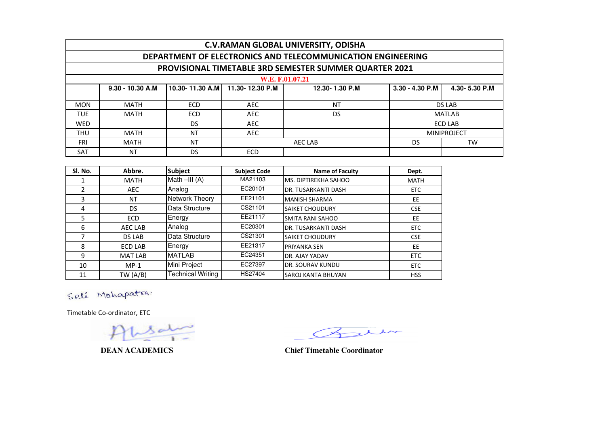| <b>C.V.RAMAN GLOBAL UNIVERSITY, ODISHA</b>                  |                                                                                                                  |            |                             |                 |  |               |  |  |  |
|-------------------------------------------------------------|------------------------------------------------------------------------------------------------------------------|------------|-----------------------------|-----------------|--|---------------|--|--|--|
| DEPARTMENT OF ELECTRONICS AND TELECOMMUNICATION ENGINEERING |                                                                                                                  |            |                             |                 |  |               |  |  |  |
| PROVISIONAL TIMETABLE 3RD SEMESTER SUMMER QUARTER 2021      |                                                                                                                  |            |                             |                 |  |               |  |  |  |
|                                                             |                                                                                                                  |            |                             | W.E. F.01.07.21 |  |               |  |  |  |
|                                                             | $10.30 - 11.30$ A.M<br>3.30 - 4.30 P.M<br>9.30 - 10.30 A.M<br>4.30-5.30 P.M<br>11.30-12.30 P.M<br>12.30-1.30 P.M |            |                             |                 |  |               |  |  |  |
|                                                             |                                                                                                                  |            |                             |                 |  |               |  |  |  |
| <b>MON</b>                                                  | MATH                                                                                                             | <b>ECD</b> | AEC                         | NT              |  | <b>DS LAB</b> |  |  |  |
| <b>TUE</b>                                                  | MATH                                                                                                             | <b>ECD</b> | <b>AEC</b>                  | DS              |  | <b>MATLAB</b> |  |  |  |
| <b>WED</b>                                                  | DS.<br><b>AEC</b><br><b>ECD LAB</b>                                                                              |            |                             |                 |  |               |  |  |  |
| <b>THU</b>                                                  | <b>NT</b><br><b>AEC</b><br><b>MINIPROJECT</b><br>MATH                                                            |            |                             |                 |  |               |  |  |  |
| <b>FRI</b>                                                  | MATH                                                                                                             | <b>NT</b>  | <b>TW</b><br>AEC LAB<br>DS. |                 |  |               |  |  |  |
| <b>SAT</b>                                                  | <b>NT</b>                                                                                                        | DS.        | <b>ECD</b>                  |                 |  |               |  |  |  |

| Sl. No. | Abbre.         | <b>Subject</b>           | <b>Subject Code</b> | <b>Name of Faculty</b>      | Dept.       |
|---------|----------------|--------------------------|---------------------|-----------------------------|-------------|
|         | <b>MATH</b>    | Math $-HI(A)$            | MA21103             | <b>MS. DIPTIREKHA SAHOO</b> | <b>MATH</b> |
|         | <b>AEC</b>     | Analog                   | EC20101             | <b>DR. TUSARKANTI DASH</b>  | ETC         |
| 3       | NT             | Network Theory           | EE21101             | <b>MANISH SHARMA</b>        | <b>EE</b>   |
| 4       | <b>DS</b>      | Data Structure           | CS21101             | <b>SAIKET CHOUDURY</b>      | <b>CSE</b>  |
| 5.      | <b>ECD</b>     | Energy                   | EE21117             | <b>SMITA RANI SAHOO</b>     | EE          |
| 6       | AEC LAB        | Analog                   | EC20301             | <b>DR. TUSARKANTI DASH</b>  | <b>ETC</b>  |
|         | <b>DS LAB</b>  | Data Structure           | CS21301             | <b>SAIKET CHOUDURY</b>      | <b>CSE</b>  |
| 8       | <b>ECD LAB</b> | Energy                   | EE21317             | <b>PRIYANKA SEN</b>         | EE          |
| 9       | <b>MAT LAB</b> | <b>MATLAB</b>            | EC24351             | DR. AJAY YADAV              | <b>ETC</b>  |
| 10      | $MP-1$         | Mini Project             | EC27397             | <b>DR. SOURAV KUNDU</b>     | <b>ETC</b>  |
| 11      | TW $(A/B)$     | <b>Technical Writing</b> | HS27404             | <b>SAROJ KANTA BHUYAN</b>   | <b>HSS</b>  |

Seli Mohapatra.

Timetable Co-ordinator, ETC

in  $\left\langle \right\rangle$ 

**DEAN ACADEMICS Chief Timetable Coordinator**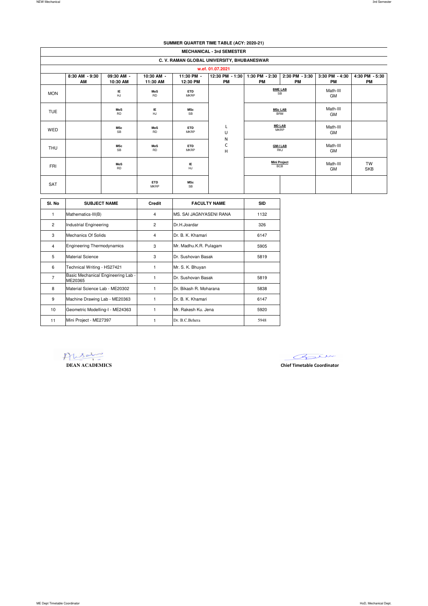### **SUMMER QUARTER TIME TABLE (ACY: 2020-21)**

|            | <b>MECHANICAL - 3rd SEMESTER</b>           |                         |                           |                           |                              |                                                                  |                             |                      |                             |  |
|------------|--------------------------------------------|-------------------------|---------------------------|---------------------------|------------------------------|------------------------------------------------------------------|-----------------------------|----------------------|-----------------------------|--|
|            | C. V. RAMAN GLOBAL UNIVERSITY, BHUBANESWAR |                         |                           |                           |                              |                                                                  |                             |                      |                             |  |
|            | w.ef. 01.07.2021                           |                         |                           |                           |                              |                                                                  |                             |                      |                             |  |
|            | 8:30 AM - 9:30<br>AM                       | 09:30 AM -<br>10:30 AM  | 10:30 AM -<br>11:30 AM    | 11:30 PM -<br>12:30 PM    | 12:30 PM - 1:30<br><b>PM</b> | 1:30 PM - 2:30<br>PM                                             | 2:30 PM - 3:30<br>PM        | 3:30 PM - 4:30<br>PM | 4:30 PM - 5:30<br><b>PM</b> |  |
| <b>MON</b> |                                            | ΙE<br><b>HJ</b>         | MoS<br><b>RD</b>          | <b>ETD</b><br><b>MKRP</b> |                              |                                                                  | <b>BME LAB</b><br><b>SB</b> | Math-III<br>GM       |                             |  |
| <b>TUE</b> |                                            | MoS<br><b>RD</b>        | ΙE<br>HJ                  | <b>MSc</b><br>SB          |                              | <b>MSc LAB</b><br>BRM<br><b>MD LAB</b><br>ч.<br><b>MKRP</b><br>U |                             | Math-III<br>GM       |                             |  |
| WED        |                                            | <b>MSc</b><br><b>SB</b> | MoS<br><b>RD</b>          | <b>ETD</b><br><b>MKRP</b> |                              |                                                                  |                             | Math-III<br>GM       |                             |  |
| <b>THU</b> |                                            | <b>MSc</b><br>SB        | MoS<br><b>RD</b>          | <b>ETD</b><br><b>MKRP</b> | N<br>С<br>н                  | <b>GM-I LAB</b><br>RKJ                                           |                             | Math-III<br>GM       |                             |  |
| <b>FRI</b> |                                            | MoS<br><b>RD</b>        |                           | IE<br>HJ                  |                              | <b>Mini Project</b><br><b>BCB</b>                                |                             | Math-III<br>GM       | <b>TW</b><br><b>SKB</b>     |  |
| SAT        |                                            |                         | <b>ETD</b><br><b>MKRP</b> | <b>MSc</b><br><b>SB</b>   |                              |                                                                  |                             |                      |                             |  |

| SI. No         | <b>SUBJECT NAME</b>                           | Credit         | <b>FACULTY NAME</b>     | <b>SID</b> |
|----------------|-----------------------------------------------|----------------|-------------------------|------------|
| 1              | Mathematics-III(B)                            | 4              | MS. SAI JAGNYASENI RANA | 1132       |
| $\overline{2}$ | <b>Industrial Engineering</b>                 | $\overline{2}$ | Dr.H.Joardar            | 326        |
| 3              | Mechanics Of Solids                           | 4              | Dr B K Khamari          | 6147       |
| 4              | <b>Engineering Thermodynamics</b>             | 3              | Mr. Madhu.K.R. Pulagam  | 5905       |
| 5              | Material Science                              | 3              | Dr. Sushovan Basak      | 5819       |
| 6              | Technical Writing - HS27421                   | 1              | Mr. S. K. Bhuyan        |            |
| 7              | Basic Mechanical Engineering Lab -<br>ME20365 | 1              | Dr. Sushovan Basak      | 5819       |
| 8              | Material Science Lab - ME20302                | 1              | Dr. Bikash R. Moharana  | 5838       |
| 9              | Machine Drawing Lab - ME20363                 | 1              | Dr. B. K. Khamari       | 6147       |
| 10             | Geometric Modelling-I - ME24363               | 1              | Mr. Rakesh Ku. Jena     | 5920       |
| 11             | Mini Project - ME27397                        | 1              | Dr. B.C. Behera         | 5948       |

**DEAN ACADEMICS Chief Timetable Coordinator**

Bur